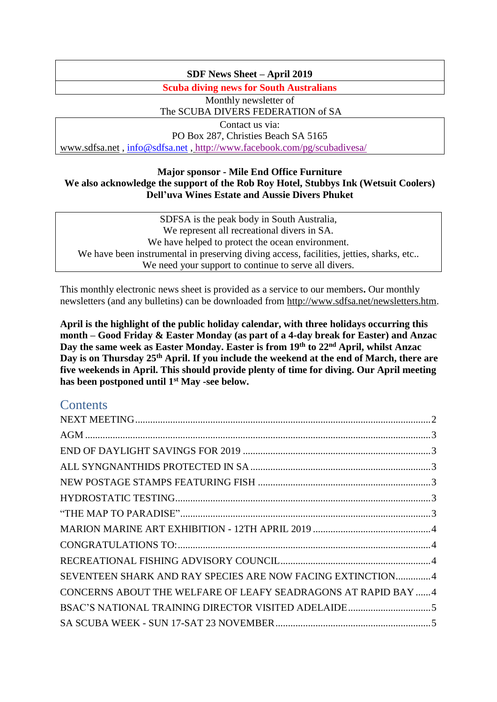# **SDF News Sheet – April 2019**

**Scuba diving news for South Australians**

Monthly newsletter of The SCUBA DIVERS FEDERATION of SA

Contact us via: PO Box 287, Christies Beach SA 5165 [www.sdfsa.net](http://www.sdfsa.net/) , [info@sdfsa.net](mailto:info@sdfsa.net) , <http://www.facebook.com/pg/scubadivesa/>

### **Major sponsor - Mile End Office Furniture We also acknowledge the support of the Rob Roy Hotel, Stubbys Ink (Wetsuit Coolers) Dell'uva Wines Estate and Aussie Divers Phuket**

SDFSA is the peak body in South Australia, We represent all recreational divers in SA. We have helped to protect the ocean environment. We have been instrumental in preserving diving access, facilities, jetties, sharks, etc.. We need your support to continue to serve all divers.

This monthly electronic news sheet is provided as a service to our members**.** Our monthly newsletters (and any bulletins) can be downloaded from [http://www.sdfsa.net/newsletters.htm.](http://www.sdfsa.net/newsletters.htm)

**April is the highlight of the public holiday calendar, with three holidays occurring this month – Good Friday & Easter Monday (as part of a 4-day break for Easter) and Anzac Day the same week as Easter Monday. Easter is from 19th to 22nd April, whilst Anzac Day is on Thursday 25th April. If you include the weekend at the end of March, there are five weekends in April. This should provide plenty of time for diving. Our April meeting has been postponed until 1st May -see below.**

# **Contents**

| SEVENTEEN SHARK AND RAY SPECIES ARE NOW FACING EXTINCTION4     |  |
|----------------------------------------------------------------|--|
| CONCERNS ABOUT THE WELFARE OF LEAFY SEADRAGONS AT RAPID BAY  4 |  |
|                                                                |  |
|                                                                |  |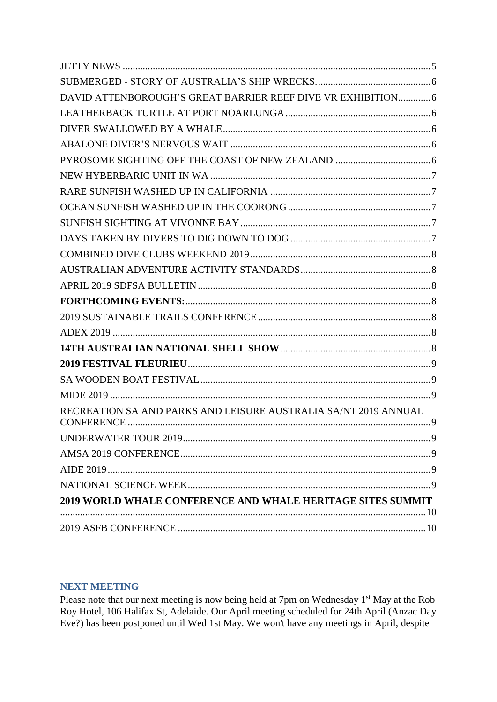| DAVID ATTENBOROUGH'S GREAT BARRIER REEF DIVE VR EXHIBITION 6       |
|--------------------------------------------------------------------|
|                                                                    |
|                                                                    |
|                                                                    |
|                                                                    |
|                                                                    |
|                                                                    |
|                                                                    |
|                                                                    |
|                                                                    |
|                                                                    |
|                                                                    |
|                                                                    |
|                                                                    |
|                                                                    |
|                                                                    |
|                                                                    |
|                                                                    |
|                                                                    |
|                                                                    |
| RECREATION SA AND PARKS AND LEISURE AUSTRALIA SA/NT 2019 ANNUAL    |
|                                                                    |
|                                                                    |
|                                                                    |
|                                                                    |
| <b>2019 WORLD WHALE CONFERENCE AND WHALE HERITAGE SITES SUMMIT</b> |
|                                                                    |
|                                                                    |

# <span id="page-1-0"></span>**NEXT MEETING**

Please note that our next meeting is now being held at 7pm on Wednesday 1<sup>st</sup> May at the Rob Roy Hotel, 106 Halifax St, Adelaide. Our April meeting scheduled for 24th April (Anzac Day Eve?) has been postponed until Wed 1st May. We won't have any meetings in April, despite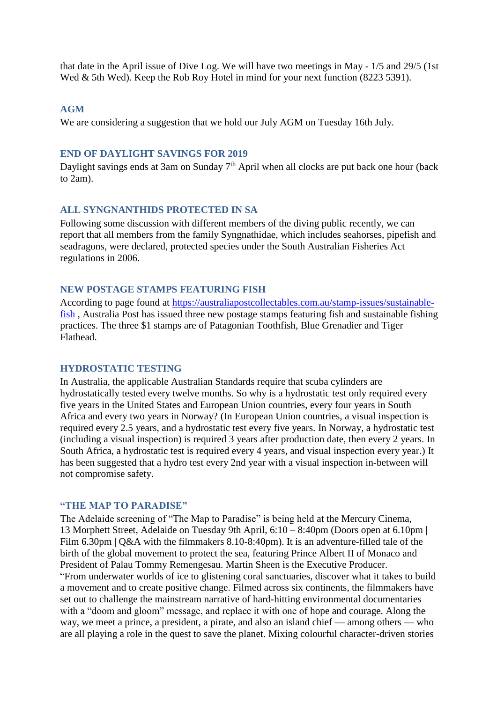that date in the April issue of Dive Log. We will have two meetings in May - 1/5 and 29/5 (1st Wed & 5th Wed). Keep the Rob Roy Hotel in mind for your next function (8223 5391).

#### <span id="page-2-0"></span>**AGM**

<span id="page-2-1"></span>We are considering a suggestion that we hold our July AGM on Tuesday 16th July.

# **END OF DAYLIGHT SAVINGS FOR 2019**

Daylight savings ends at 3am on Sunday  $7<sup>th</sup>$  April when all clocks are put back one hour (back to  $2am$ ).

#### <span id="page-2-2"></span>**ALL SYNGNANTHIDS PROTECTED IN SA**

Following some discussion with different members of the diving public recently, we can report that all members from the family Syngnathidae, which includes seahorses, pipefish and seadragons, were declared, protected species under the South Australian Fisheries Act regulations in 2006.

### <span id="page-2-3"></span>**NEW POSTAGE STAMPS FEATURING FISH**

According to page found at [https://australiapostcollectables.com.au/stamp-issues/sustainable](https://australiapostcollectables.com.au/stamp-issues/sustainable-fish)[fish](https://australiapostcollectables.com.au/stamp-issues/sustainable-fish) , Australia Post has issued three new postage stamps featuring fish and sustainable fishing practices. The three \$1 stamps are of Patagonian Toothfish, Blue Grenadier and Tiger Flathead.

#### <span id="page-2-4"></span>**HYDROSTATIC TESTING**

In Australia, the applicable Australian Standards require that scuba cylinders are hydrostatically tested every twelve months. So why is a hydrostatic test only required every five years in the United States and European Union countries, every four years in South Africa and every two years in Norway? (In European Union countries, a visual inspection is required every 2.5 years, and a hydrostatic test every five years. In Norway, a hydrostatic test (including a visual inspection) is required 3 years after production date, then every 2 years. In South Africa, a hydrostatic test is required every 4 years, and visual inspection every year.) It has been suggested that a hydro test every 2nd year with a visual inspection in-between will not compromise safety.

#### <span id="page-2-5"></span>**"THE MAP TO PARADISE"**

The Adelaide screening of "The Map to Paradise" is being held at the Mercury Cinema, 13 Morphett Street, Adelaide on Tuesday 9th April, 6:10 – 8:40pm (Doors open at 6.10pm | Film 6.30pm | Q&A with the filmmakers 8.10-8:40pm). It is an adventure-filled tale of the birth of the global movement to protect the sea, featuring Prince Albert II of Monaco and President of Palau Tommy Remengesau. Martin Sheen is the Executive Producer. "From underwater worlds of ice to glistening coral sanctuaries, discover what it takes to build a movement and to create positive change. Filmed across six continents, the filmmakers have set out to challenge the mainstream narrative of hard-hitting environmental documentaries with a "doom and gloom" message, and replace it with one of hope and courage. Along the way, we meet a prince, a president, a pirate, and also an island chief — among others — who are all playing a role in the quest to save the planet. Mixing colourful character-driven stories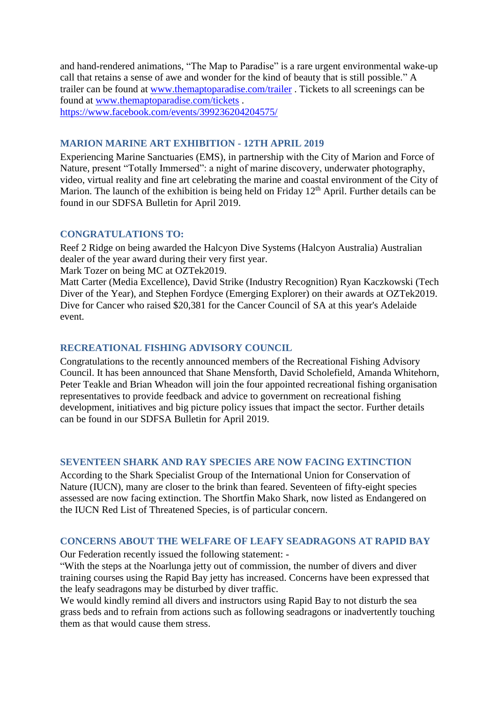and hand-rendered animations, "The Map to Paradise" is a rare urgent environmental wake-up call that retains a sense of awe and wonder for the kind of beauty that is still possible." A trailer can be found at [www.themaptoparadise.com/trailer](http://www.themaptoparadise.com/trailer) . Tickets to all screenings can be found at [www.themaptoparadise.com/tickets](http://www.themaptoparadise.com/tickets) . <https://www.facebook.com/events/399236204204575/>

# <span id="page-3-0"></span>**MARION MARINE ART EXHIBITION - 12TH APRIL 2019**

Experiencing Marine Sanctuaries (EMS), in partnership with the City of Marion and Force of Nature, present "Totally Immersed": a night of marine discovery, underwater photography, video, virtual reality and fine art celebrating the marine and coastal environment of the City of Marion. The launch of the exhibition is being held on Friday  $12<sup>th</sup>$  April. Further details can be found in our SDFSA Bulletin for April 2019.

### <span id="page-3-1"></span>**CONGRATULATIONS TO:**

Reef 2 Ridge on being awarded the Halcyon Dive Systems (Halcyon Australia) Australian dealer of the year award during their very first year.

Mark Tozer on being MC at OZTek2019.

Matt Carter (Media Excellence), David Strike (Industry Recognition) Ryan Kaczkowski (Tech Diver of the Year), and Stephen Fordyce (Emerging Explorer) on their awards at OZTek2019. Dive for Cancer who raised \$20,381 for the Cancer Council of SA at this year's Adelaide event.

# <span id="page-3-2"></span>**RECREATIONAL FISHING ADVISORY COUNCIL**

Congratulations to the recently announced members of the Recreational Fishing Advisory Council. It has been announced that Shane Mensforth, David Scholefield, Amanda Whitehorn, Peter Teakle and Brian Wheadon will join the four appointed recreational fishing organisation representatives to provide feedback and advice to government on recreational fishing development, initiatives and big picture policy issues that impact the sector. Further details can be found in our SDFSA Bulletin for April 2019.

# <span id="page-3-3"></span>**SEVENTEEN SHARK AND RAY SPECIES ARE NOW FACING EXTINCTION**

According to the Shark Specialist Group of the International Union for Conservation of Nature (IUCN), many are closer to the brink than feared. Seventeen of fifty-eight species assessed are now facing extinction. The Shortfin Mako Shark, now listed as Endangered on the IUCN Red List of Threatened Species, is of particular concern.

### <span id="page-3-4"></span>**CONCERNS ABOUT THE WELFARE OF LEAFY SEADRAGONS AT RAPID BAY**

Our Federation recently issued the following statement: -

"With the steps at the Noarlunga jetty out of commission, the number of divers and diver training courses using the Rapid Bay jetty has increased. Concerns have been expressed that the leafy seadragons may be disturbed by diver traffic.

We would kindly remind all divers and instructors using Rapid Bay to not disturb the sea grass beds and to refrain from actions such as following seadragons or inadvertently touching them as that would cause them stress.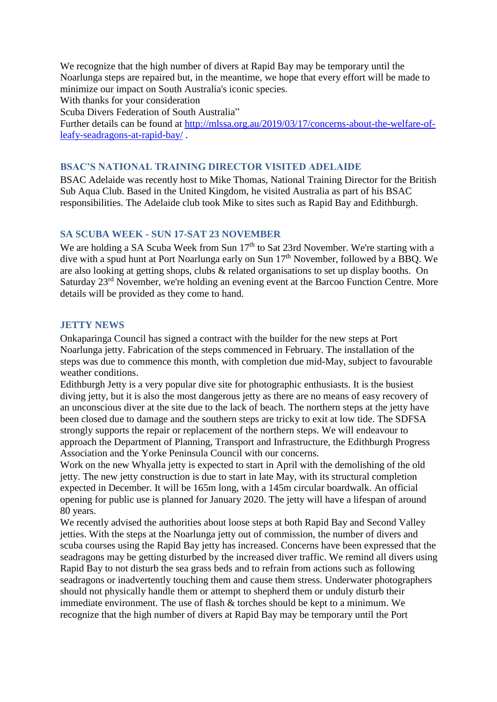We recognize that the high number of divers at Rapid Bay may be temporary until the Noarlunga steps are repaired but, in the meantime, we hope that every effort will be made to minimize our impact on South Australia's iconic species.

With thanks for your consideration

Scuba Divers Federation of South Australia"

Further details can be found at [http://mlssa.org.au/2019/03/17/concerns-about-the-welfare-of](http://mlssa.org.au/2019/03/17/concerns-about-the-welfare-of-leafy-seadragons-at-rapid-bay/)[leafy-seadragons-at-rapid-bay/](http://mlssa.org.au/2019/03/17/concerns-about-the-welfare-of-leafy-seadragons-at-rapid-bay/) .

# <span id="page-4-0"></span>**BSAC'S NATIONAL TRAINING DIRECTOR VISITED ADELAIDE**

BSAC Adelaide was recently host to Mike Thomas, National Training Director for the British Sub Aqua Club. Based in the United Kingdom, he visited Australia as part of his BSAC responsibilities. The Adelaide club took Mike to sites such as Rapid Bay and Edithburgh.

# <span id="page-4-1"></span>**SA SCUBA WEEK - SUN 17-SAT 23 NOVEMBER**

We are holding a SA Scuba Week from Sun 17<sup>th</sup> to Sat 23rd November. We're starting with a dive with a spud hunt at Port Noarlunga early on Sun 17<sup>th</sup> November, followed by a BBQ. We are also looking at getting shops, clubs & related organisations to set up display booths. On Saturday 23<sup>rd</sup> November, we're holding an evening event at the Barcoo Function Centre. More details will be provided as they come to hand.

### <span id="page-4-2"></span>**JETTY NEWS**

Onkaparinga Council has signed a contract with the builder for the new steps at Port Noarlunga jetty. Fabrication of the steps commenced in February. The installation of the steps was due to commence this month, with completion due mid-May, subject to favourable weather conditions.

Edithburgh Jetty is a very popular dive site for photographic enthusiasts. It is the busiest diving jetty, but it is also the most dangerous jetty as there are no means of easy recovery of an unconscious diver at the site due to the lack of beach. The northern steps at the jetty have been closed due to damage and the southern steps are tricky to exit at low tide. The SDFSA strongly supports the repair or replacement of the northern steps. We will endeavour to approach the Department of Planning, Transport and Infrastructure, the Edithburgh Progress Association and the Yorke Peninsula Council with our concerns.

Work on the new Whyalla jetty is expected to start in April with the demolishing of the old jetty. The new jetty construction is due to start in late May, with its structural completion expected in December. It will be 165m long, with a 145m circular boardwalk. An official opening for public use is planned for January 2020. The jetty will have a lifespan of around 80 years.

We recently advised the authorities about loose steps at both Rapid Bay and Second Valley jetties. With the steps at the Noarlunga jetty out of commission, the number of divers and scuba courses using the Rapid Bay jetty has increased. Concerns have been expressed that the seadragons may be getting disturbed by the increased diver traffic. We remind all divers using Rapid Bay to not disturb the sea grass beds and to refrain from actions such as following seadragons or inadvertently touching them and cause them stress. Underwater photographers should not physically handle them or attempt to shepherd them or unduly disturb their immediate environment. The use of flash & torches should be kept to a minimum. We recognize that the high number of divers at Rapid Bay may be temporary until the Port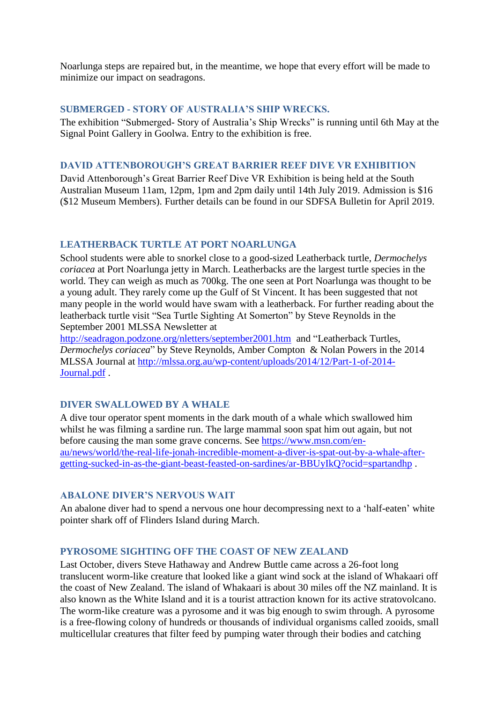Noarlunga steps are repaired but, in the meantime, we hope that every effort will be made to minimize our impact on seadragons.

# <span id="page-5-0"></span>**SUBMERGED - STORY OF AUSTRALIA'S SHIP WRECKS.**

The exhibition "Submerged- Story of Australia's Ship Wrecks" is running until 6th May at the Signal Point Gallery in Goolwa. Entry to the exhibition is free.

### <span id="page-5-1"></span>**DAVID ATTENBOROUGH'S GREAT BARRIER REEF DIVE VR EXHIBITION**

David Attenborough's Great Barrier Reef Dive VR Exhibition is being held at the South Australian Museum 11am, 12pm, 1pm and 2pm daily until 14th July 2019. Admission is \$16 (\$12 Museum Members). Further details can be found in our SDFSA Bulletin for April 2019.

### <span id="page-5-2"></span>**LEATHERBACK TURTLE AT PORT NOARLUNGA**

School students were able to snorkel close to a good-sized Leatherback turtle, *Dermochelys coriacea* at Port Noarlunga jetty in March. Leatherbacks are the largest turtle species in the world. They can weigh as much as 700kg. The one seen at Port Noarlunga was thought to be a young adult. They rarely come up the Gulf of St Vincent. It has been suggested that not many people in the world would have swam with a leatherback. For further reading about the leatherback turtle visit "Sea Turtle Sighting At Somerton" by Steve Reynolds in the September 2001 MLSSA Newsletter at

<http://seadragon.podzone.org/nletters/september2001.htm> and "Leatherback Turtles, *Dermochelys coriacea*" by Steve Reynolds, Amber Compton & Nolan Powers in the 2014 MLSSA Journal at [http://mlssa.org.au/wp-content/uploads/2014/12/Part-1-of-2014-](http://mlssa.org.au/wp-content/uploads/2014/12/Part-1-of-2014-Journal.pdf) [Journal.pdf](http://mlssa.org.au/wp-content/uploads/2014/12/Part-1-of-2014-Journal.pdf) .

### <span id="page-5-3"></span>**DIVER SWALLOWED BY A WHALE**

A dive tour operator spent moments in the dark mouth of a whale which swallowed him whilst he was filming a sardine run. The large mammal soon spat him out again, but not before causing the man some grave concerns. See [https://www.msn.com/en](https://www.msn.com/en-au/news/world/the-real-life-jonah-incredible-moment-a-diver-is-spat-out-by-a-whale-after-getting-sucked-in-as-the-giant-beast-feasted-on-sardines/ar-BBUyIkQ?ocid=spartandhp)[au/news/world/the-real-life-jonah-incredible-moment-a-diver-is-spat-out-by-a-whale-after](https://www.msn.com/en-au/news/world/the-real-life-jonah-incredible-moment-a-diver-is-spat-out-by-a-whale-after-getting-sucked-in-as-the-giant-beast-feasted-on-sardines/ar-BBUyIkQ?ocid=spartandhp)[getting-sucked-in-as-the-giant-beast-feasted-on-sardines/ar-BBUyIkQ?ocid=spartandhp](https://www.msn.com/en-au/news/world/the-real-life-jonah-incredible-moment-a-diver-is-spat-out-by-a-whale-after-getting-sucked-in-as-the-giant-beast-feasted-on-sardines/ar-BBUyIkQ?ocid=spartandhp) .

### <span id="page-5-4"></span>**ABALONE DIVER'S NERVOUS WAIT**

An abalone diver had to spend a nervous one hour decompressing next to a 'half-eaten' white pointer shark off of Flinders Island during March.

### <span id="page-5-5"></span>**PYROSOME SIGHTING OFF THE COAST OF NEW ZEALAND**

Last October, divers Steve Hathaway and Andrew Buttle came across a 26-foot long translucent worm-like creature that looked like a giant wind sock at the island of Whakaari off the coast of New Zealand. The island of Whakaari is about 30 miles off the NZ mainland. It is also known as the White Island and it is a tourist attraction known for its active stratovolcano. The worm-like creature was a pyrosome and it was big enough to swim through. A pyrosome is a free-flowing colony of hundreds or thousands of individual organisms called zooids, small multicellular creatures that filter feed by pumping water through their bodies and catching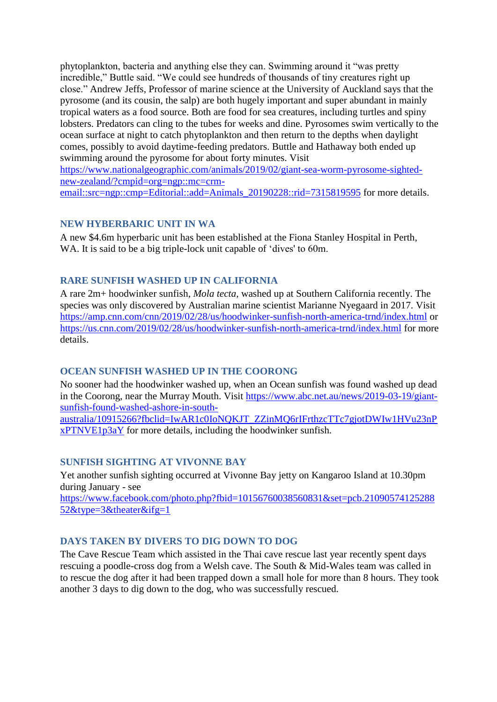phytoplankton, bacteria and anything else they can. Swimming around it "was pretty incredible," Buttle said. "We could see hundreds of thousands of tiny creatures right up close." Andrew Jeffs, Professor of marine science at the University of Auckland says that the pyrosome (and its cousin, the salp) are both hugely important and super abundant in mainly tropical waters as a food source. Both are food for sea creatures, including turtles and spiny lobsters. Predators can cling to the tubes for weeks and dine. Pyrosomes swim vertically to the ocean surface at night to catch phytoplankton and then return to the depths when daylight comes, possibly to avoid daytime-feeding predators. Buttle and Hathaway both ended up swimming around the pyrosome for about forty minutes. Visit

[https://www.nationalgeographic.com/animals/2019/02/giant-sea-worm-pyrosome-sighted](https://www.nationalgeographic.com/animals/2019/02/giant-sea-worm-pyrosome-sighted-new-zealand/?cmpid=org=ngp::mc=crm-email::src=ngp::cmp=Editorial::add=Animals_20190228::rid=7315819595)[new-zealand/?cmpid=org=ngp::mc=crm-](https://www.nationalgeographic.com/animals/2019/02/giant-sea-worm-pyrosome-sighted-new-zealand/?cmpid=org=ngp::mc=crm-email::src=ngp::cmp=Editorial::add=Animals_20190228::rid=7315819595)

<span id="page-6-0"></span>[email::src=ngp::cmp=Editorial::add=Animals\\_20190228::rid=7315819595](https://www.nationalgeographic.com/animals/2019/02/giant-sea-worm-pyrosome-sighted-new-zealand/?cmpid=org=ngp::mc=crm-email::src=ngp::cmp=Editorial::add=Animals_20190228::rid=7315819595) for more details.

# **NEW HYBERBARIC UNIT IN WA**

A new \$4.6m hyperbaric unit has been established at the Fiona Stanley Hospital in Perth, WA. It is said to be a big triple-lock unit capable of 'dives' to 60m.

# <span id="page-6-1"></span>**RARE SUNFISH WASHED UP IN CALIFORNIA**

A rare 2m+ hoodwinker sunfish, *Mola tecta*, washed up at Southern California recently. The species was only discovered by Australian marine scientist Marianne Nyegaard in 2017. Visit <https://amp.cnn.com/cnn/2019/02/28/us/hoodwinker-sunfish-north-america-trnd/index.html> or <https://us.cnn.com/2019/02/28/us/hoodwinker-sunfish-north-america-trnd/index.html> for more details.

# <span id="page-6-2"></span>**OCEAN SUNFISH WASHED UP IN THE COORONG**

No sooner had the hoodwinker washed up, when an Ocean sunfish was found washed up dead in the Coorong, near the Murray Mouth. Visit [https://www.abc.net.au/news/2019-03-19/giant](https://www.abc.net.au/news/2019-03-19/giant-sunfish-found-washed-ashore-in-south-australia/10915266?fbclid=IwAR1c0IoNQKJT_ZZinMQ6rIFrthzcTTc7gjotDWIw1HVu23nPxPTNVE1p3aY)[sunfish-found-washed-ashore-in-south-](https://www.abc.net.au/news/2019-03-19/giant-sunfish-found-washed-ashore-in-south-australia/10915266?fbclid=IwAR1c0IoNQKJT_ZZinMQ6rIFrthzcTTc7gjotDWIw1HVu23nPxPTNVE1p3aY)

australia/10915266?fbclid=IwAR1c0IoNOKJT\_ZZinMO6rIFrthzcTTc7giotDWIw1HVu23nP [xPTNVE1p3aY](https://www.abc.net.au/news/2019-03-19/giant-sunfish-found-washed-ashore-in-south-australia/10915266?fbclid=IwAR1c0IoNQKJT_ZZinMQ6rIFrthzcTTc7gjotDWIw1HVu23nPxPTNVE1p3aY) for more details, including the hoodwinker sunfish.

# <span id="page-6-3"></span>**SUNFISH SIGHTING AT VIVONNE BAY**

Yet another sunfish sighting occurred at Vivonne Bay jetty on Kangaroo Island at 10.30pm during January - see [https://www.facebook.com/photo.php?fbid=10156760038560831&set=pcb.21090574125288](https://www.facebook.com/photo.php?fbid=10156760038560831&set=pcb.2109057412528852&type=3&theater&ifg=1) [52&type=3&theater&ifg=1](https://www.facebook.com/photo.php?fbid=10156760038560831&set=pcb.2109057412528852&type=3&theater&ifg=1)

# <span id="page-6-4"></span>**DAYS TAKEN BY DIVERS TO DIG DOWN TO DOG**

The Cave Rescue Team which assisted in the Thai cave rescue last year recently spent days rescuing a poodle-cross dog from a Welsh cave. The South & Mid-Wales team was called in to rescue the dog after it had been trapped down a small hole for more than 8 hours. They took another 3 days to dig down to the dog, who was successfully rescued.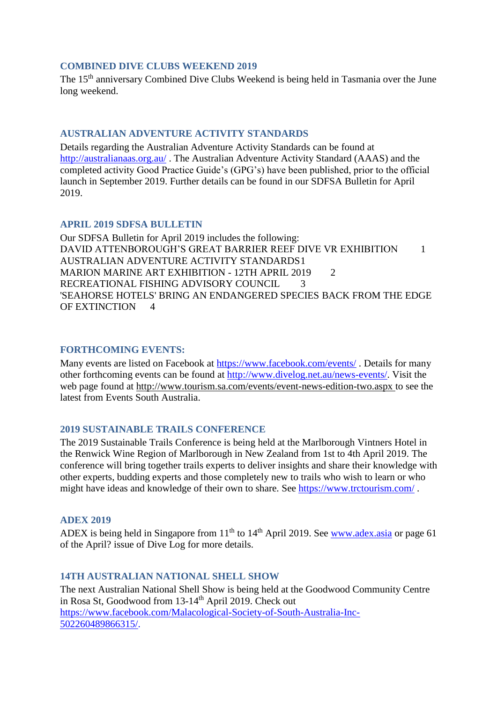### <span id="page-7-0"></span>**COMBINED DIVE CLUBS WEEKEND 2019**

The 15<sup>th</sup> anniversary Combined Dive Clubs Weekend is being held in Tasmania over the June long weekend.

### <span id="page-7-1"></span>**AUSTRALIAN ADVENTURE ACTIVITY STANDARDS**

Details regarding the Australian Adventure Activity Standards can be found at <http://australianaas.org.au/> . The Australian Adventure Activity Standard (AAAS) and the completed activity Good Practice Guide's (GPG's) have been published, prior to the official launch in September 2019. Further details can be found in our SDFSA Bulletin for April 2019.

### <span id="page-7-2"></span>**APRIL 2019 SDFSA BULLETIN**

Our SDFSA Bulletin for April 2019 includes the following: DAVID ATTENBOROUGH'S GREAT BARRIER REEF DIVE VR EXHIBITION 1 AUSTRALIAN ADVENTURE ACTIVITY STANDARDS1 MARION MARINE ART EXHIBITION - 12TH APRIL 2019 2 RECREATIONAL FISHING ADVISORY COUNCIL 3 'SEAHORSE HOTELS' BRING AN ENDANGERED SPECIES BACK FROM THE EDGE OF EXTINCTION 4

#### <span id="page-7-3"></span>**FORTHCOMING EVENTS:**

Many events are listed on Facebook at<https://www.facebook.com/events/>. Details for many other forthcoming events can be found at [http://www.divelog.net.au/news-events/.](http://www.divelog.net.au/news-events/) Visit the web page found at<http://www.tourism.sa.com/events/event-news-edition-two.aspx> to see the latest from Events South Australia.

### <span id="page-7-4"></span>**2019 SUSTAINABLE TRAILS CONFERENCE**

The 2019 Sustainable Trails Conference is being held at the Marlborough Vintners Hotel in the Renwick Wine Region of Marlborough in New Zealand from 1st to 4th April 2019. The conference will bring together trails experts to deliver insights and share their knowledge with other experts, budding experts and those completely new to trails who wish to learn or who might have ideas and knowledge of their own to share. See<https://www.trctourism.com/>.

#### <span id="page-7-5"></span>**ADEX 2019**

ADEX is being held in Singapore from  $11<sup>th</sup>$  to  $14<sup>th</sup>$  April 2019. See [www.adex.asia](http://www.adex.asia/) or page 61 of the April? issue of Dive Log for more details.

### <span id="page-7-6"></span>**14TH AUSTRALIAN NATIONAL SHELL SHOW**

The next Australian National Shell Show is being held at the Goodwood Community Centre in Rosa St, Goodwood from 13-14<sup>th</sup> April 2019. Check out [https://www.facebook.com/Malacological-Society-of-South-Australia-Inc-](https://www.facebook.com/Malacological-Society-of-South-Australia-Inc-502260489866315/)[502260489866315/.](https://www.facebook.com/Malacological-Society-of-South-Australia-Inc-502260489866315/)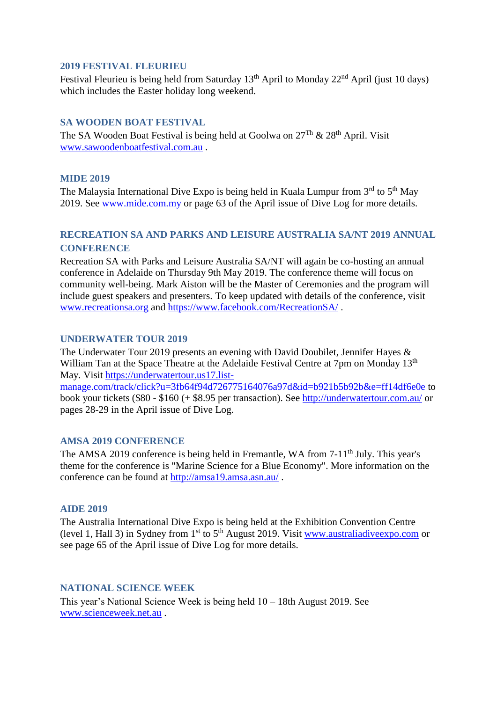### <span id="page-8-0"></span>**2019 FESTIVAL FLEURIEU**

Festival Fleurieu is being held from Saturday  $13<sup>th</sup>$  April to Monday  $22<sup>nd</sup>$  April (just 10 days) which includes the Easter holiday long weekend.

# <span id="page-8-1"></span>**SA WOODEN BOAT FESTIVAL**

The SA Wooden Boat Festival is being held at Goolwa on  $27^{Th}$  &  $28^{th}$  April. Visit [www.sawoodenboatfestival.com.au](http://www.sawoodenboatfestival.com.au/) .

# <span id="page-8-2"></span>**MIDE 2019**

The Malaysia International Dive Expo is being held in Kuala Lumpur from  $3<sup>rd</sup>$  to  $5<sup>th</sup>$  May 2019. See [www.mide.com.my](http://www.mide.com.my/) or page 63 of the April issue of Dive Log for more details.

# <span id="page-8-3"></span>**RECREATION SA AND PARKS AND LEISURE AUSTRALIA SA/NT 2019 ANNUAL CONFERENCE**

Recreation SA with Parks and Leisure Australia SA/NT will again be co-hosting an annual conference in Adelaide on Thursday 9th May 2019. The conference theme will focus on community well-being. Mark Aiston will be the Master of Ceremonies and the program will include guest speakers and presenters. To keep updated with details of the conference, visit [www.recreationsa.org](http://www.recreationsa.org/) and<https://www.facebook.com/RecreationSA/> .

# <span id="page-8-4"></span>**UNDERWATER TOUR 2019**

The Underwater Tour 2019 presents an evening with David Doubilet, Jennifer Hayes & William Tan at the Space Theatre at the Adelaide Festival Centre at 7pm on Monday 13<sup>th</sup> May. Visit [https://underwatertour.us17.list](https://underwatertour.us17.list-manage.com/track/click?u=3fb64f94d726775164076a97d&id=b921b5b92b&e=ff14df6e0e)[manage.com/track/click?u=3fb64f94d726775164076a97d&id=b921b5b92b&e=ff14df6e0e](https://underwatertour.us17.list-manage.com/track/click?u=3fb64f94d726775164076a97d&id=b921b5b92b&e=ff14df6e0e) to book your tickets (\$80 - \$160 (+ \$8.95 per transaction). See<http://underwatertour.com.au/> or pages 28-29 in the April issue of Dive Log.

### <span id="page-8-5"></span>**AMSA 2019 CONFERENCE**

The AMSA 2019 conference is being held in Fremantle, WA from 7-11<sup>th</sup> July. This year's theme for the conference is "Marine Science for a Blue Economy". More information on the conference can be found at<http://amsa19.amsa.asn.au/> .

### <span id="page-8-6"></span>**AIDE 2019**

The Australia International Dive Expo is being held at the Exhibition Convention Centre (level 1, Hall 3) in Sydney from 1<sup>st</sup> to 5<sup>th</sup> August 2019. Visit [www.australiadiveexpo.com](http://www.australiadiveexpo.com/) or see page 65 of the April issue of Dive Log for more details.

### <span id="page-8-7"></span>**NATIONAL SCIENCE WEEK**

This year's National Science Week is being held 10 – 18th August 2019. See [www.scienceweek.net.au](http://www.scienceweek.net.au/) .